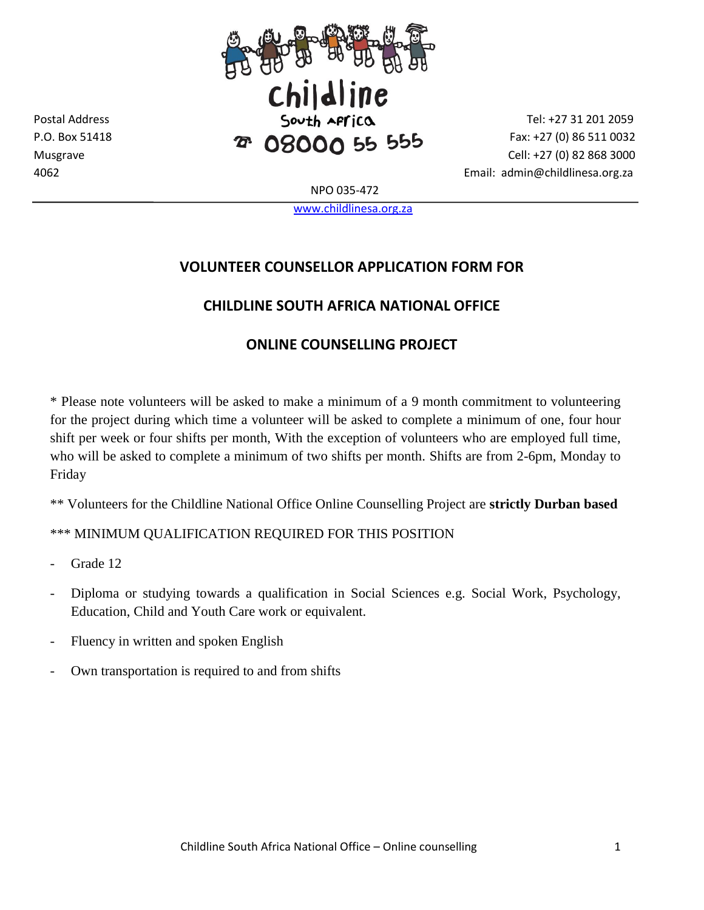

4062 Email: admin@childlinesa.org.za

NPO 035-472

[www.childlinesa.org.za](http://www.childlinesa.org.za/)

## **VOLUNTEER COUNSELLOR APPLICATION FORM FOR**

## **CHILDLINE SOUTH AFRICA NATIONAL OFFICE**

## **ONLINE COUNSELLING PROJECT**

\* Please note volunteers will be asked to make a minimum of a 9 month commitment to volunteering for the project during which time a volunteer will be asked to complete a minimum of one, four hour shift per week or four shifts per month, With the exception of volunteers who are employed full time, who will be asked to complete a minimum of two shifts per month. Shifts are from 2-6pm, Monday to Friday

\*\* Volunteers for the Childline National Office Online Counselling Project are **strictly Durban based** 

\*\*\* MINIMUM QUALIFICATION REQUIRED FOR THIS POSITION

Grade 12

- Diploma or studying towards a qualification in Social Sciences e.g. Social Work, Psychology, Education, Child and Youth Care work or equivalent.
- Fluency in written and spoken English
- Own transportation is required to and from shifts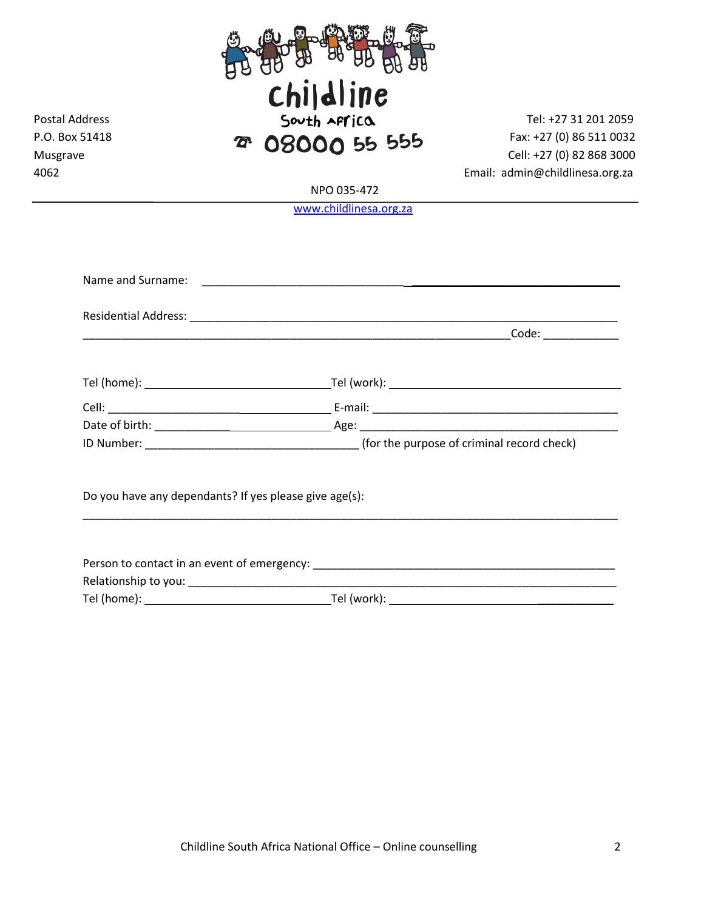

NPO 035-472

[www.childlinesa.org.za](http://www.childlinesa.org.za/)

| Do you have any dependants? If yes please give age(s): |  |
|--------------------------------------------------------|--|
|                                                        |  |
|                                                        |  |
|                                                        |  |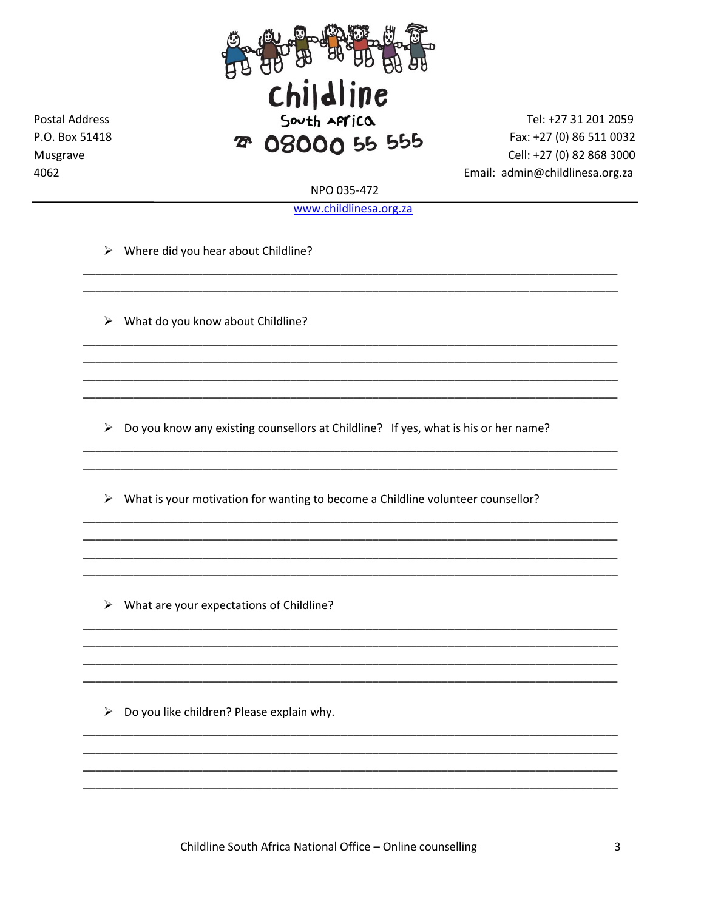

Tel: +27 31 201 2059 Fax: +27 (0) 86 511 0032 Cell: +27 (0) 82 868 3000 Email: admin@childlinesa.org.za

NPO 035-472

www.childlinesa.org.za

 $\triangleright$  Where did you hear about Childline?

**Postal Address** 

P.O. Box 51418

Musgrave

4062

 $\triangleright$  What do you know about Childline?

 $\triangleright$  Do you know any existing counsellors at Childline? If yes, what is his or her name?

> What is your motivation for wanting to become a Childline volunteer counsellor?

 $\triangleright$  What are your expectations of Childline?

 $\triangleright$  Do you like children? Please explain why.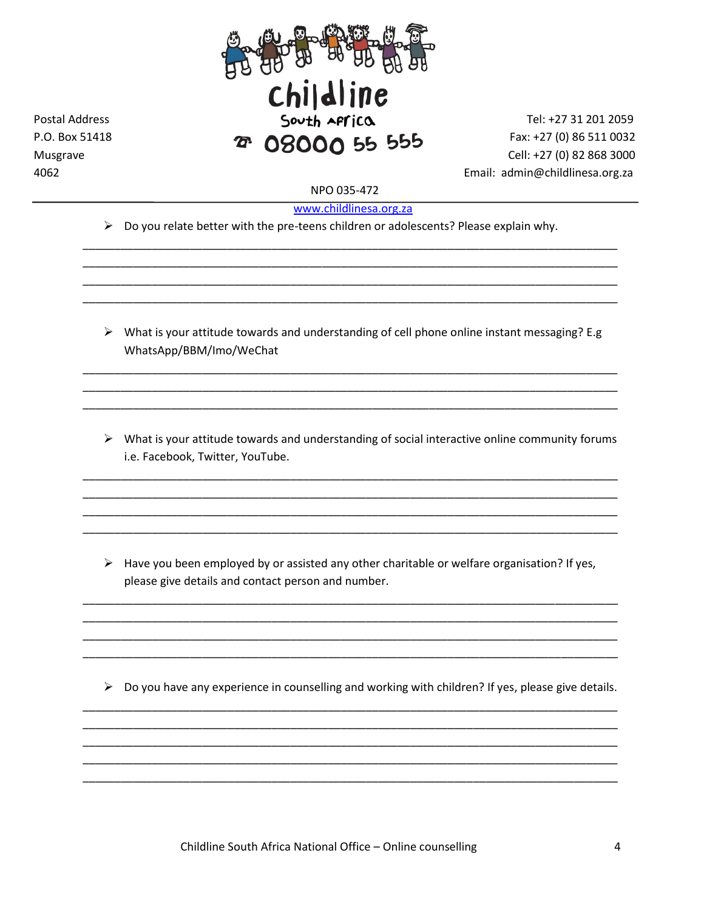

**Postal Address** P.O. Box 51418 Musgrave 4062

Tel: +27 31 201 2059 Fax: +27 (0) 86 511 0032 Cell: +27 (0) 82 868 3000 Email: admin@childlinesa.org.za

NPO 035-472

www.childlinesa.org.za

 $\triangleright$  Do you relate better with the pre-teens children or adolescents? Please explain why.

 $\triangleright$  What is your attitude towards and understanding of cell phone online instant messaging? E.g WhatsApp/BBM/Imo/WeChat

 $\triangleright$  What is your attitude towards and understanding of social interactive online community forums i.e. Facebook, Twitter, YouTube.

 $\triangleright$  Have you been employed by or assisted any other charitable or welfare organisation? If yes, please give details and contact person and number.

 $\triangleright$  Do you have any experience in counselling and working with children? If yes, please give details.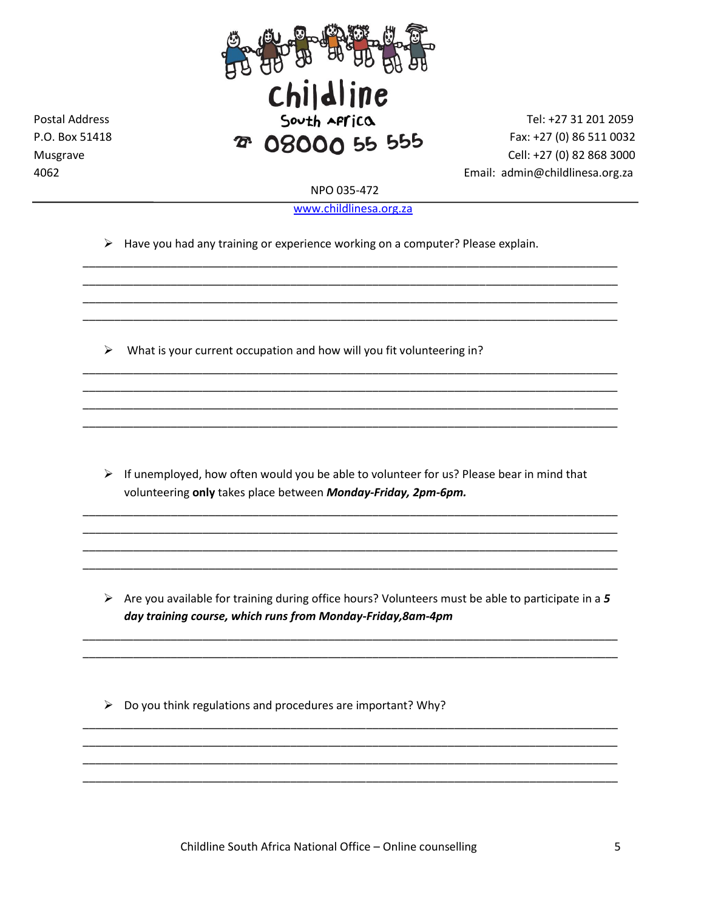

**Postal Address** 

P.O. Box 51418

Musgrave

4062

Tel: +27 31 201 2059 Fax: +27 (0) 86 511 0032 Cell: +27 (0) 82 868 3000 Email: admin@childlinesa.org.za

NPO 035-472

www.childlinesa.org.za

 $\triangleright$  Have you had any training or experience working on a computer? Please explain.

 $\triangleright$  What is your current occupation and how will you fit volunteering in?

> If unemployed, how often would you be able to volunteer for us? Please bear in mind that volunteering only takes place between Monday-Friday, 2pm-6pm.

 $\triangleright$  Are you available for training during office hours? Volunteers must be able to participate in a 5 day training course, which runs from Monday-Friday, 8am-4pm

 $\triangleright$  Do you think regulations and procedures are important? Why?